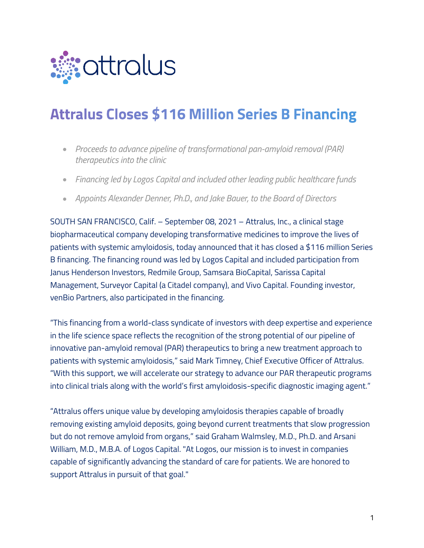

# **Attralus Closes \$116 Million Series B Financing**

- *Proceeds to advance pipeline of transformational pan-amyloid removal (PAR) therapeutics into the clinic*
- *Financing led by Logos Capital and included other leading public healthcare funds*
- *Appoints Alexander Denner, Ph.D., and Jake Bauer, to the Board of Directors*

SOUTH SAN FRANCISCO, Calif. – September 08, 2021 – Attralus, Inc., a clinical stage biopharmaceutical company developing transformative medicines to improve the lives of patients with systemic amyloidosis, today announced that it has closed a \$116 million Series B financing. The financing round was led by Logos Capital and included participation from Janus Henderson Investors, Redmile Group, Samsara BioCapital, Sarissa Capital Management, Surveyor Capital (a Citadel company), and Vivo Capital. Founding investor, venBio Partners, also participated in the financing.

"This financing from a world-class syndicate of investors with deep expertise and experience in the life science space reflects the recognition of the strong potential of our pipeline of innovative pan-amyloid removal (PAR) therapeutics to bring a new treatment approach to patients with systemic amyloidosis," said Mark Timney, Chief Executive Officer of Attralus. "With this support, we will accelerate our strategy to advance our PAR therapeutic programs into clinical trials along with the world's first amyloidosis-specific diagnostic imaging agent."

"Attralus offers unique value by developing amyloidosis therapies capable of broadly removing existing amyloid deposits, going beyond current treatments that slow progression but do not remove amyloid from organs," said Graham Walmsley, M.D., Ph.D. and Arsani William, M.D., M.B.A. of Logos Capital. "At Logos, our mission is to invest in companies capable of significantly advancing the standard of care for patients. We are honored to support Attralus in pursuit of that goal."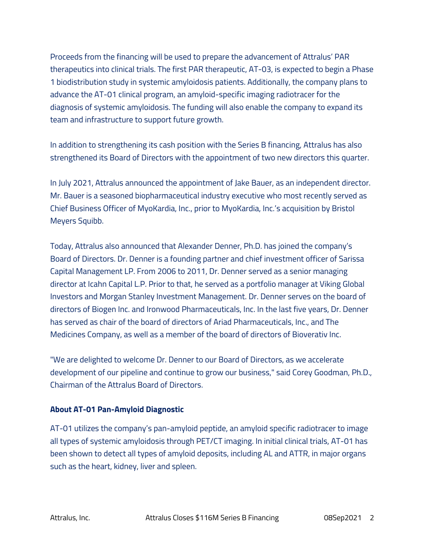Proceeds from the financing will be used to prepare the advancement of Attralus' PAR therapeutics into clinical trials. The first PAR therapeutic, AT-03, is expected to begin a Phase 1 biodistribution study in systemic amyloidosis patients. Additionally, the company plans to advance the AT-01 clinical program, an amyloid-specific imaging radiotracer for the diagnosis of systemic amyloidosis. The funding will also enable the company to expand its team and infrastructure to support future growth.

In addition to strengthening its cash position with the Series B financing, Attralus has also strengthened its Board of Directors with the appointment of two new directors this quarter.

In July 2021, Attralus announced the appointment of Jake Bauer, as an independent director. Mr. Bauer is a seasoned biopharmaceutical industry executive who most recently served as Chief Business Officer of MyoKardia, Inc., prior to MyoKardia, Inc.'s acquisition by Bristol Meyers Squibb.

Today, Attralus also announced that Alexander Denner, Ph.D. has joined the company's Board of Directors. Dr. Denner is a founding partner and chief investment officer of Sarissa Capital Management LP. From 2006 to 2011, Dr. Denner served as a senior managing director at Icahn Capital L.P. Prior to that, he served as a portfolio manager at Viking Global Investors and Morgan Stanley Investment Management. Dr. Denner serves on the board of directors of Biogen Inc. and Ironwood Pharmaceuticals, Inc. In the last five years, Dr. Denner has served as chair of the board of directors of Ariad Pharmaceuticals, Inc., and The Medicines Company, as well as a member of the board of directors of Bioverativ Inc.

"We are delighted to welcome Dr. Denner to our Board of Directors, as we accelerate development of our pipeline and continue to grow our business," said Corey Goodman, Ph.D., Chairman of the Attralus Board of Directors.

# **About AT-01 Pan-Amyloid Diagnostic**

AT-01 utilizes the company's pan-amyloid peptide, an amyloid specific radiotracer to image all types of systemic amyloidosis through PET/CT imaging. In initial clinical trials, AT-01 has been shown to detect all types of amyloid deposits, including AL and ATTR, in major organs such as the heart, kidney, liver and spleen.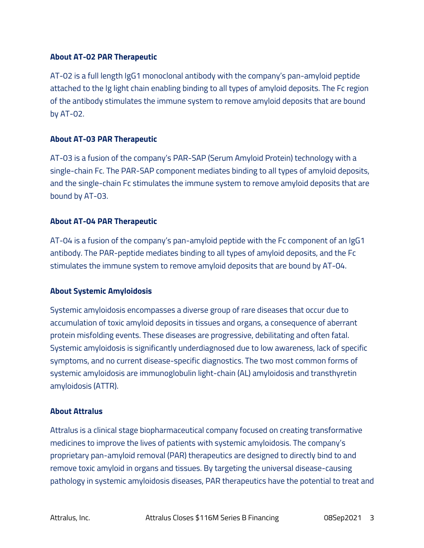# **About AT-02 PAR Therapeutic**

AT-02 is a full length IgG1 monoclonal antibody with the company's pan-amyloid peptide attached to the Ig light chain enabling binding to all types of amyloid deposits. The Fc region of the antibody stimulates the immune system to remove amyloid deposits that are bound by AT-02.

# **About AT-03 PAR Therapeutic**

AT-03 is a fusion of the company's PAR-SAP (Serum Amyloid Protein) technology with a single-chain Fc. The PAR-SAP component mediates binding to all types of amyloid deposits, and the single-chain Fc stimulates the immune system to remove amyloid deposits that are bound by AT-03.

# **About AT-04 PAR Therapeutic**

AT-04 is a fusion of the company's pan-amyloid peptide with the Fc component of an IgG1 antibody. The PAR-peptide mediates binding to all types of amyloid deposits, and the Fc stimulates the immune system to remove amyloid deposits that are bound by AT-04.

# **About Systemic Amyloidosis**

Systemic amyloidosis encompasses a diverse group of rare diseases that occur due to accumulation of toxic amyloid deposits in tissues and organs, a consequence of aberrant protein misfolding events. These diseases are progressive, debilitating and often fatal. Systemic amyloidosis is significantly underdiagnosed due to low awareness, lack of specific symptoms, and no current disease-specific diagnostics. The two most common forms of systemic amyloidosis are immunoglobulin light-chain (AL) amyloidosis and transthyretin amyloidosis (ATTR).

# **About Attralus**

Attralus is a clinical stage biopharmaceutical company focused on creating transformative medicines to improve the lives of patients with systemic amyloidosis. The company's proprietary pan-amyloid removal (PAR) therapeutics are designed to directly bind to and remove toxic amyloid in organs and tissues. By targeting the universal disease-causing pathology in systemic amyloidosis diseases, PAR therapeutics have the potential to treat and